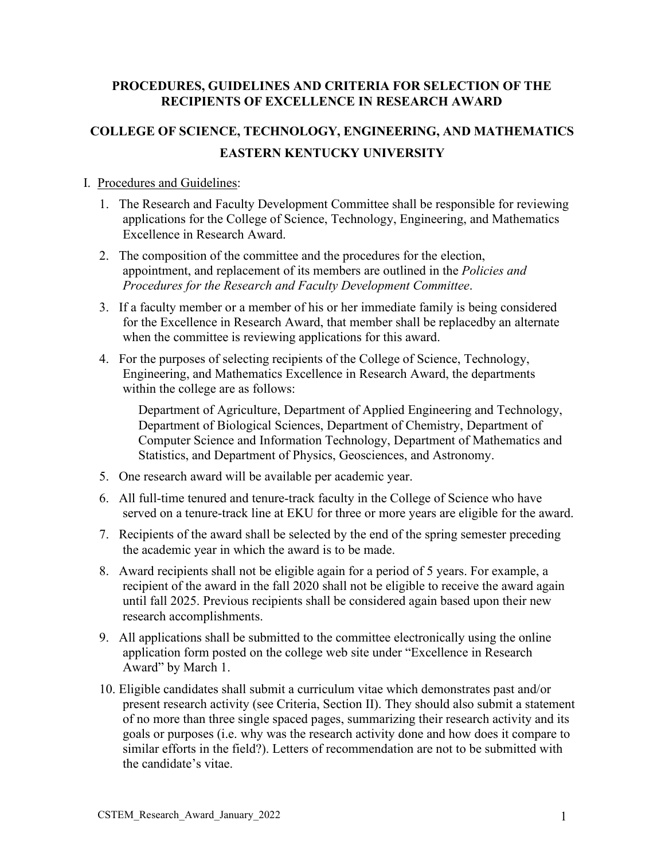#### **PROCEDURES, GUIDELINES AND CRITERIA FOR SELECTION OF THE RECIPIENTS OF EXCELLENCE IN RESEARCH AWARD**

# **COLLEGE OF SCIENCE, TECHNOLOGY, ENGINEERING, AND MATHEMATICS EASTERN KENTUCKY UNIVERSITY**

#### I. Procedures and Guidelines:

- 1. The Research and Faculty Development Committee shall be responsible for reviewing applications for the College of Science, Technology, Engineering, and Mathematics Excellence in Research Award.
- 2. The composition of the committee and the procedures for the election, appointment, and replacement of its members are outlined in the *Policies and Procedures for the Research and Faculty Development Committee*.
- 3. If a faculty member or a member of his or her immediate family is being considered for the Excellence in Research Award, that member shall be replacedby an alternate when the committee is reviewing applications for this award.
- 4. For the purposes of selecting recipients of the College of Science, Technology, Engineering, and Mathematics Excellence in Research Award, the departments within the college are as follows:

Department of Agriculture, Department of Applied Engineering and Technology, Department of Biological Sciences, Department of Chemistry, Department of Computer Science and Information Technology, Department of Mathematics and Statistics, and Department of Physics, Geosciences, and Astronomy.

- 5. One research award will be available per academic year.
- 6. All full-time tenured and tenure-track faculty in the College of Science who have served on a tenure-track line at EKU for three or more years are eligible for the award.
- 7. Recipients of the award shall be selected by the end of the spring semester preceding the academic year in which the award is to be made.
- 8. Award recipients shall not be eligible again for a period of 5 years. For example, a recipient of the award in the fall 2020 shall not be eligible to receive the award again until fall 2025. Previous recipients shall be considered again based upon their new research accomplishments.
- 9. All applications shall be submitted to the committee electronically using the online application form posted on the college web site under "Excellence in Research Award" by March 1.
- 10. Eligible candidates shall submit a curriculum vitae which demonstrates past and/or present research activity (see Criteria, Section II). They should also submit a statement of no more than three single spaced pages, summarizing their research activity and its goals or purposes (i.e. why was the research activity done and how does it compare to similar efforts in the field?). Letters of recommendation are not to be submitted with the candidate's vitae.